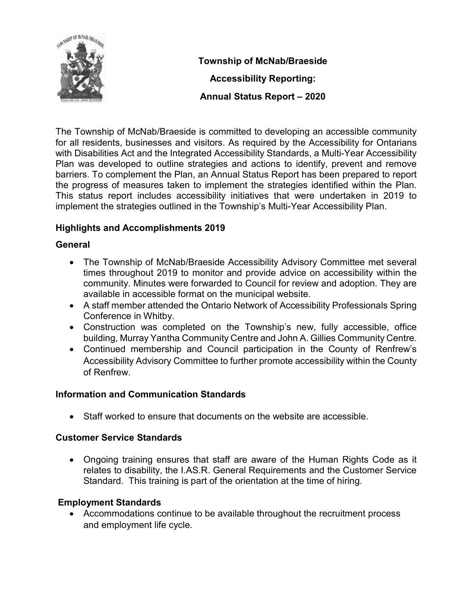

Township of McNab/Braeside Accessibility Reporting: Annual Status Report – 2020

The Township of McNab/Braeside is committed to developing an accessible community for all residents, businesses and visitors. As required by the Accessibility for Ontarians with Disabilities Act and the Integrated Accessibility Standards, a Multi-Year Accessibility Plan was developed to outline strategies and actions to identify, prevent and remove barriers. To complement the Plan, an Annual Status Report has been prepared to report the progress of measures taken to implement the strategies identified within the Plan. This status report includes accessibility initiatives that were undertaken in 2019 to implement the strategies outlined in the Township's Multi-Year Accessibility Plan.

# Highlights and Accomplishments 2019

### General

- The Township of McNab/Braeside Accessibility Advisory Committee met several times throughout 2019 to monitor and provide advice on accessibility within the community. Minutes were forwarded to Council for review and adoption. They are available in accessible format on the municipal website.
- A staff member attended the Ontario Network of Accessibility Professionals Spring Conference in Whitby.
- Construction was completed on the Township's new, fully accessible, office building, Murray Yantha Community Centre and John A. Gillies Community Centre.
- Continued membership and Council participation in the County of Renfrew's Accessibility Advisory Committee to further promote accessibility within the County of Renfrew.

### Information and Communication Standards

Staff worked to ensure that documents on the website are accessible.

### Customer Service Standards

 Ongoing training ensures that staff are aware of the Human Rights Code as it relates to disability, the I.AS.R. General Requirements and the Customer Service Standard. This training is part of the orientation at the time of hiring.

# Employment Standards

 Accommodations continue to be available throughout the recruitment process and employment life cycle.